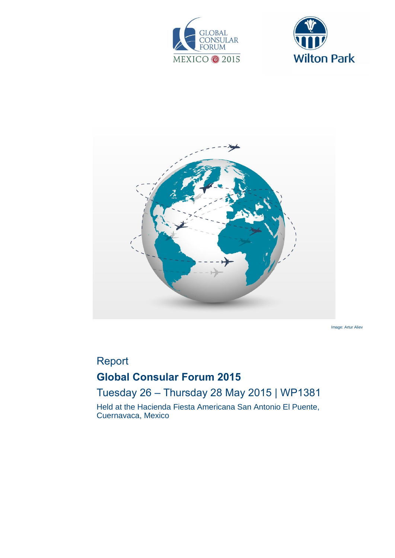





Image: Artur Aliev

# Report

# **Global Consular Forum 2015**

## Tuesday 26 – Thursday 28 May 2015 | WP1381

Held at the Hacienda Fiesta Americana San Antonio El Puente, Cuernavaca, Mexico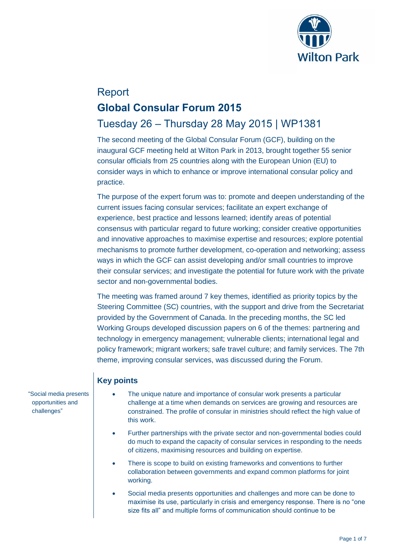

# Report **Global Consular Forum 2015**

## Tuesday 26 – Thursday 28 May 2015 | WP1381

The second meeting of the Global Consular Forum (GCF), building on the inaugural GCF meeting held at Wilton Park in 2013, brought together 55 senior consular officials from 25 countries along with the European Union (EU) to consider ways in which to enhance or improve international consular policy and practice.

The purpose of the expert forum was to: promote and deepen understanding of the current issues facing consular services; facilitate an expert exchange of experience, best practice and lessons learned; identify areas of potential consensus with particular regard to future working; consider creative opportunities and innovative approaches to maximise expertise and resources; explore potential mechanisms to promote further development, co-operation and networking; assess ways in which the GCF can assist developing and/or small countries to improve their consular services; and investigate the potential for future work with the private sector and non-governmental bodies.

The meeting was framed around 7 key themes, identified as priority topics by the Steering Committee (SC) countries, with the support and drive from the Secretariat provided by the Government of Canada. In the preceding months, the SC led Working Groups developed discussion papers on 6 of the themes: partnering and technology in emergency management; vulnerable clients; international legal and policy framework; migrant workers; safe travel culture; and family services. The 7th theme, improving consular services, was discussed during the Forum.

## **Key points**

- The unique nature and importance of consular work presents a particular challenge at a time when demands on services are growing and resources are constrained. The profile of consular in ministries should reflect the high value of this work.
	- Further partnerships with the private sector and non-governmental bodies could do much to expand the capacity of consular services in responding to the needs of citizens, maximising resources and building on expertise.
	- There is scope to build on existing frameworks and conventions to further collaboration between governments and expand common platforms for joint working.
	- Social media presents opportunities and challenges and more can be done to maximise its use, particularly in crisis and emergency response. There is no "one size fits all" and multiple forms of communication should continue to be

"Social media presents opportunities and challenges"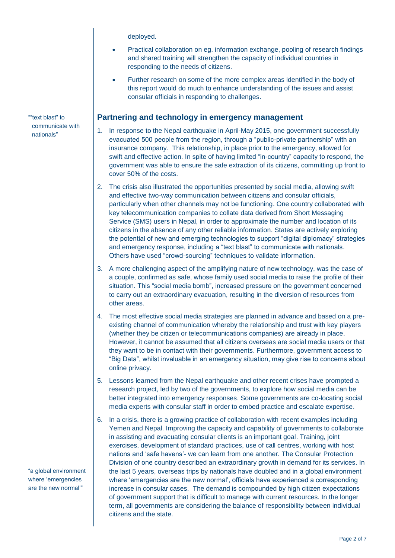deployed.

- Practical collaboration on eg. information exchange, pooling of research findings and shared training will strengthen the capacity of individual countries in responding to the needs of citizens.
- Further research on some of the more complex areas identified in the body of this report would do much to enhance understanding of the issues and assist consular officials in responding to challenges.

#### **Partnering and technology in emergency management**

- 1. In response to the Nepal earthquake in April-May 2015, one government successfully evacuated 500 people from the region, through a "public-private partnership" with an insurance company. This relationship, in place prior to the emergency, allowed for swift and effective action. In spite of having limited "in-country" capacity to respond, the government was able to ensure the safe extraction of its citizens, committing up front to cover 50% of the costs.
- 2. The crisis also illustrated the opportunities presented by social media, allowing swift and effective two-way communication between citizens and consular officials, particularly when other channels may not be functioning. One country collaborated with key telecommunication companies to collate data derived from Short Messaging Service (SMS) users in Nepal, in order to approximate the number and location of its citizens in the absence of any other reliable information. States are actively exploring the potential of new and emerging technologies to support "digital diplomacy" strategies and emergency response, including a "text blast" to communicate with nationals. Others have used "crowd-sourcing" techniques to validate information.
- 3. A more challenging aspect of the amplifying nature of new technology, was the case of a couple, confirmed as safe, whose family used social media to raise the profile of their situation. This "social media bomb", increased pressure on the government concerned to carry out an extraordinary evacuation, resulting in the diversion of resources from other areas.
- 4. The most effective social media strategies are planned in advance and based on a preexisting channel of communication whereby the relationship and trust with key players (whether they be citizen or telecommunications companies) are already in place. However, it cannot be assumed that all citizens overseas are social media users or that they want to be in contact with their governments. Furthermore, government access to "Big Data", whilst invaluable in an emergency situation, may give rise to concerns about online privacy.
- 5. Lessons learned from the Nepal earthquake and other recent crises have prompted a research project, led by two of the governments, to explore how social media can be better integrated into emergency responses. Some governments are co-locating social media experts with consular staff in order to embed practice and escalate expertise.
- 6. In a crisis, there is a growing practice of collaboration with recent examples including Yemen and Nepal. Improving the capacity and capability of governments to collaborate in assisting and evacuating consular clients is an important goal. Training, joint exercises, development of standard practices, use of call centres, working with host nations and 'safe havens'- we can learn from one another. The Consular Protection Division of one country described an extraordinary growth in demand for its services. In the last 5 years, overseas trips by nationals have doubled and in a global environment where 'emergencies are the new normal', officials have experienced a corresponding increase in consular cases. The demand is compounded by high citizen expectations of government support that is difficult to manage with current resources. In the longer term, all governments are considering the balance of responsibility between individual citizens and the state.

""text blast" to communicate with nationals"

"a global environment where 'emergencies are the new normal'"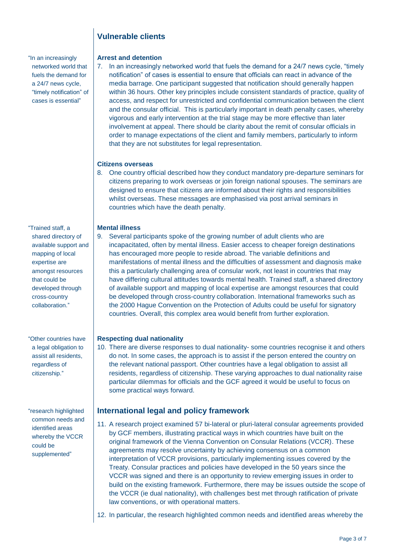## **Vulnerable clients**

"In an increasingly networked world that fuels the demand for a 24/7 news cycle, "timely notification" of cases is essential"

"Trained staff, a shared directory of available support and mapping of local expertise are amongst resources that could be developed through cross-country collaboration."

"Other countries have a legal obligation to assist all residents, regardless of citizenship."

"research highlighted common needs and identified areas whereby the VCCR could be supplemented"

#### **Arrest and detention**

7. In an increasingly networked world that fuels the demand for a 24/7 news cycle, "timely notification" of cases is essential to ensure that officials can react in advance of the media barrage. One participant suggested that notification should generally happen within 36 hours. Other key principles include consistent standards of practice, quality of access, and respect for unrestricted and confidential communication between the client and the consular official. This is particularly important in death penalty cases, whereby vigorous and early intervention at the trial stage may be more effective than later involvement at appeal. There should be clarity about the remit of consular officials in order to manage expectations of the client and family members, particularly to inform that they are not substitutes for legal representation.

#### **Citizens overseas**

8. One country official described how they conduct mandatory pre-departure seminars for citizens preparing to work overseas or join foreign national spouses. The seminars are designed to ensure that citizens are informed about their rights and responsibilities whilst overseas. These messages are emphasised via post arrival seminars in countries which have the death penalty.

#### **Mental illness**

9. Several participants spoke of the growing number of adult clients who are incapacitated, often by mental illness. Easier access to cheaper foreign destinations has encouraged more people to reside abroad. The variable definitions and manifestations of mental illness and the difficulties of assessment and diagnosis make this a particularly challenging area of consular work, not least in countries that may have differing cultural attitudes towards mental health. Trained staff, a shared directory of available support and mapping of local expertise are amongst resources that could be developed through cross-country collaboration. International frameworks such as the 2000 Hague Convention on the Protection of Adults could be useful for signatory countries. Overall, this complex area would benefit from further exploration.

#### **Respecting dual nationality**

10. There are diverse responses to dual nationality- some countries recognise it and others do not. In some cases, the approach is to assist if the person entered the country on the relevant national passport. Other countries have a legal obligation to assist all residents, regardless of citizenship. These varying approaches to dual nationality raise particular dilemmas for officials and the GCF agreed it would be useful to focus on some practical ways forward.

#### **International legal and policy framework**

- 11. A research project examined 57 bi-lateral or pluri-lateral consular agreements provided by GCF members, illustrating practical ways in which countries have built on the original framework of the Vienna Convention on Consular Relations (VCCR). These agreements may resolve uncertainty by achieving consensus on a common interpretation of VCCR provisions, particularly implementing issues covered by the Treaty. Consular practices and policies have developed in the 50 years since the VCCR was signed and there is an opportunity to review emerging issues in order to build on the existing framework. Furthermore, there may be issues outside the scope of the VCCR (ie dual nationality), with challenges best met through ratification of private law conventions, or with operational matters.
- 12. In particular, the research highlighted common needs and identified areas whereby the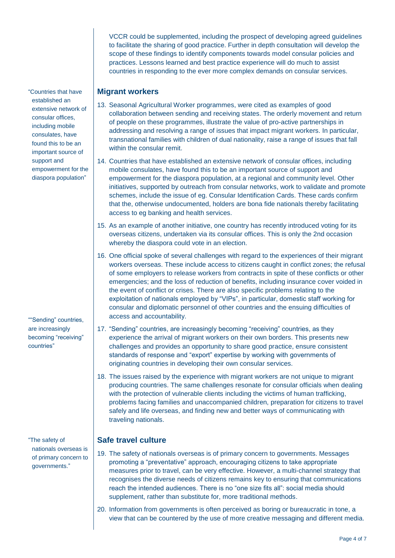VCCR could be supplemented, including the prospect of developing agreed guidelines to facilitate the sharing of good practice. Further in depth consultation will develop the scope of these findings to identify components towards model consular policies and practices. Lessons learned and best practice experience will do much to assist countries in responding to the ever more complex demands on consular services.

## **Migrant workers**

- 13. Seasonal Agricultural Worker programmes, were cited as examples of good collaboration between sending and receiving states. The orderly movement and return of people on these programmes, illustrate the value of pro-active partnerships in addressing and resolving a range of issues that impact migrant workers. In particular, transnational families with children of dual nationality, raise a range of issues that fall within the consular remit.
- 14. Countries that have established an extensive network of consular offices, including mobile consulates, have found this to be an important source of support and empowerment for the diaspora population, at a regional and community level. Other initiatives, supported by outreach from consular networks, work to validate and promote schemes, include the issue of eg. Consular Identification Cards. These cards confirm that the, otherwise undocumented, holders are bona fide nationals thereby facilitating access to eg banking and health services.
- 15. As an example of another initiative, one country has recently introduced voting for its overseas citizens, undertaken via its consular offices. This is only the 2nd occasion whereby the diaspora could vote in an election.
- 16. One official spoke of several challenges with regard to the experiences of their migrant workers overseas. These include access to citizens caught in conflict zones; the refusal of some employers to release workers from contracts in spite of these conflicts or other emergencies; and the loss of reduction of benefits, including insurance cover voided in the event of conflict or crises. There are also specific problems relating to the exploitation of nationals employed by "VIPs", in particular, domestic staff working for consular and diplomatic personnel of other countries and the ensuing difficulties of access and accountability.
- 17. "Sending" countries, are increasingly becoming "receiving" countries, as they experience the arrival of migrant workers on their own borders. This presents new challenges and provides an opportunity to share good practice, ensure consistent standards of response and "export" expertise by working with governments of originating countries in developing their own consular services.
- 18. The issues raised by the experience with migrant workers are not unique to migrant producing countries. The same challenges resonate for consular officials when dealing with the protection of vulnerable clients including the victims of human trafficking, problems facing families and unaccompanied children, preparation for citizens to travel safely and life overseas, and finding new and better ways of communicating with traveling nationals.

## **Safe travel culture**

- 19. The safety of nationals overseas is of primary concern to governments. Messages promoting a "preventative" approach, encouraging citizens to take appropriate measures prior to travel, can be very effective. However, a multi-channel strategy that recognises the diverse needs of citizens remains key to ensuring that communications reach the intended audiences. There is no "one size fits all": social media should supplement, rather than substitute for, more traditional methods.
- 20. Information from governments is often perceived as boring or bureaucratic in tone, a view that can be countered by the use of more creative messaging and different media.

"Countries that have established an extensive network of consular offices, including mobile consulates, have found this to be an important source of support and empowerment for the diaspora population"

""Sending" countries, are increasingly becoming "receiving" countries"

"The safety of nationals overseas is of primary concern to governments."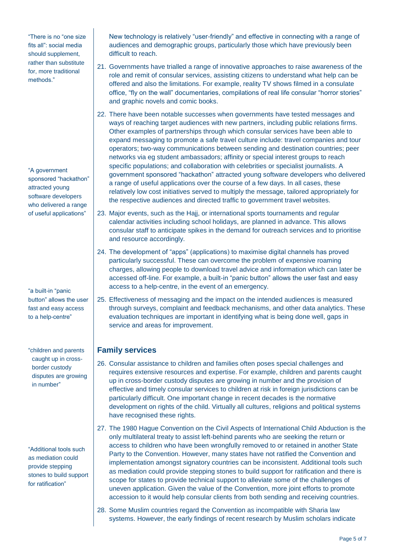"There is no "one size fits all": social media should supplement, rather than substitute for, more traditional methods."

"A government sponsored "hackathon" attracted young software developers who delivered a range of useful applications"

"a built-in "panic button" allows the user fast and easy access to a help-centre"

"children and parents caught up in crossborder custody disputes are growing in number"

"Additional tools such as mediation could provide stepping stones to build support for ratification"

New technology is relatively "user-friendly" and effective in connecting with a range of audiences and demographic groups, particularly those which have previously been difficult to reach.

- 21. Governments have trialled a range of innovative approaches to raise awareness of the role and remit of consular services, assisting citizens to understand what help can be offered and also the limitations. For example, reality TV shows filmed in a consulate office, "fly on the wall" documentaries, compilations of real life consular "horror stories" and graphic novels and comic books.
- 22. There have been notable successes when governments have tested messages and ways of reaching target audiences with new partners, including public relations firms. Other examples of partnerships through which consular services have been able to expand messaging to promote a safe travel culture include: travel companies and tour operators; two-way communications between sending and destination countries; peer networks via eg student ambassadors; affinity or special interest groups to reach specific populations; and collaboration with celebrities or specialist journalists. A government sponsored "hackathon" attracted young software developers who delivered a range of useful applications over the course of a few days. In all cases, these relatively low cost initiatives served to multiply the message, tailored appropriately for the respective audiences and directed traffic to government travel websites.
- 23. Major events, such as the Hajj, or international sports tournaments and regular calendar activities including school holidays, are planned in advance. This allows consular staff to anticipate spikes in the demand for outreach services and to prioritise and resource accordingly.
- 24. The development of "apps" (applications) to maximise digital channels has proved particularly successful. These can overcome the problem of expensive roaming charges, allowing people to download travel advice and information which can later be accessed off-line. For example, a built-in "panic button" allows the user fast and easy access to a help-centre, in the event of an emergency.
- 25. Effectiveness of messaging and the impact on the intended audiences is measured through surveys, complaint and feedback mechanisms, and other data analytics. These evaluation techniques are important in identifying what is being done well, gaps in service and areas for improvement.

## **Family services**

- 26. Consular assistance to children and families often poses special challenges and requires extensive resources and expertise. For example, children and parents caught up in cross-border custody disputes are growing in number and the provision of effective and timely consular services to children at risk in foreign jurisdictions can be particularly difficult. One important change in recent decades is the normative development on rights of the child. Virtually all cultures, religions and political systems have recognised these rights.
- 27. The 1980 Hague Convention on the Civil Aspects of International Child Abduction is the only multilateral treaty to assist left-behind parents who are seeking the return or access to children who have been wrongfully removed to or retained in another State Party to the Convention. However, many states have not ratified the Convention and implementation amongst signatory countries can be inconsistent. Additional tools such as mediation could provide stepping stones to build support for ratification and there is scope for states to provide technical support to alleviate some of the challenges of uneven application. Given the value of the Convention, more joint efforts to promote accession to it would help consular clients from both sending and receiving countries.
- 28. Some Muslim countries regard the Convention as incompatible with Sharia law systems. However, the early findings of recent research by Muslim scholars indicate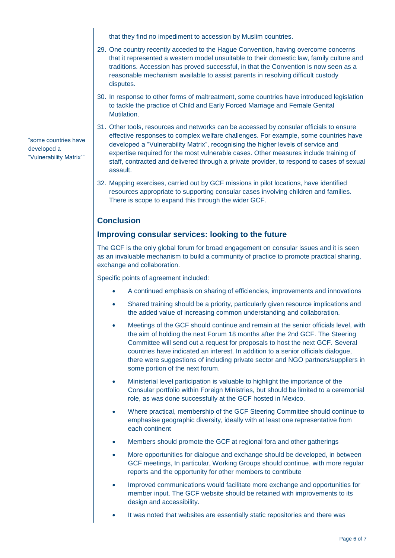that they find no impediment to accession by Muslim countries.

- 29. One country recently acceded to the Hague Convention, having overcome concerns that it represented a western model unsuitable to their domestic law, family culture and traditions. Accession has proved successful, in that the Convention is now seen as a reasonable mechanism available to assist parents in resolving difficult custody disputes.
- 30. In response to other forms of maltreatment, some countries have introduced legislation to tackle the practice of Child and Early Forced Marriage and Female Genital Mutilation.
- 31. Other tools, resources and networks can be accessed by consular officials to ensure effective responses to complex welfare challenges. For example, some countries have developed a "Vulnerability Matrix", recognising the higher levels of service and expertise required for the most vulnerable cases. Other measures include training of staff, contracted and delivered through a private provider, to respond to cases of sexual assault.
- 32. Mapping exercises, carried out by GCF missions in pilot locations, have identified resources appropriate to supporting consular cases involving children and families. There is scope to expand this through the wider GCF.

## **Conclusion**

### **Improving consular services: looking to the future**

The GCF is the only global forum for broad engagement on consular issues and it is seen as an invaluable mechanism to build a community of practice to promote practical sharing, exchange and collaboration.

Specific points of agreement included:

- A continued emphasis on sharing of efficiencies, improvements and innovations
- Shared training should be a priority, particularly given resource implications and the added value of increasing common understanding and collaboration.
- Meetings of the GCF should continue and remain at the senior officials level, with the aim of holding the next Forum 18 months after the 2nd GCF. The Steering Committee will send out a request for proposals to host the next GCF. Several countries have indicated an interest. In addition to a senior officials dialogue, there were suggestions of including private sector and NGO partners/suppliers in some portion of the next forum.
- Ministerial level participation is valuable to highlight the importance of the Consular portfolio within Foreign Ministries, but should be limited to a ceremonial role, as was done successfully at the GCF hosted in Mexico.
- Where practical, membership of the GCF Steering Committee should continue to emphasise geographic diversity, ideally with at least one representative from each continent
- Members should promote the GCF at regional fora and other gatherings
- More opportunities for dialogue and exchange should be developed, in between GCF meetings, In particular, Working Groups should continue, with more regular reports and the opportunity for other members to contribute
- Improved communications would facilitate more exchange and opportunities for member input. The GCF website should be retained with improvements to its design and accessibility.
- It was noted that websites are essentially static repositories and there was

"some countries have developed a "Vulnerability Matrix""